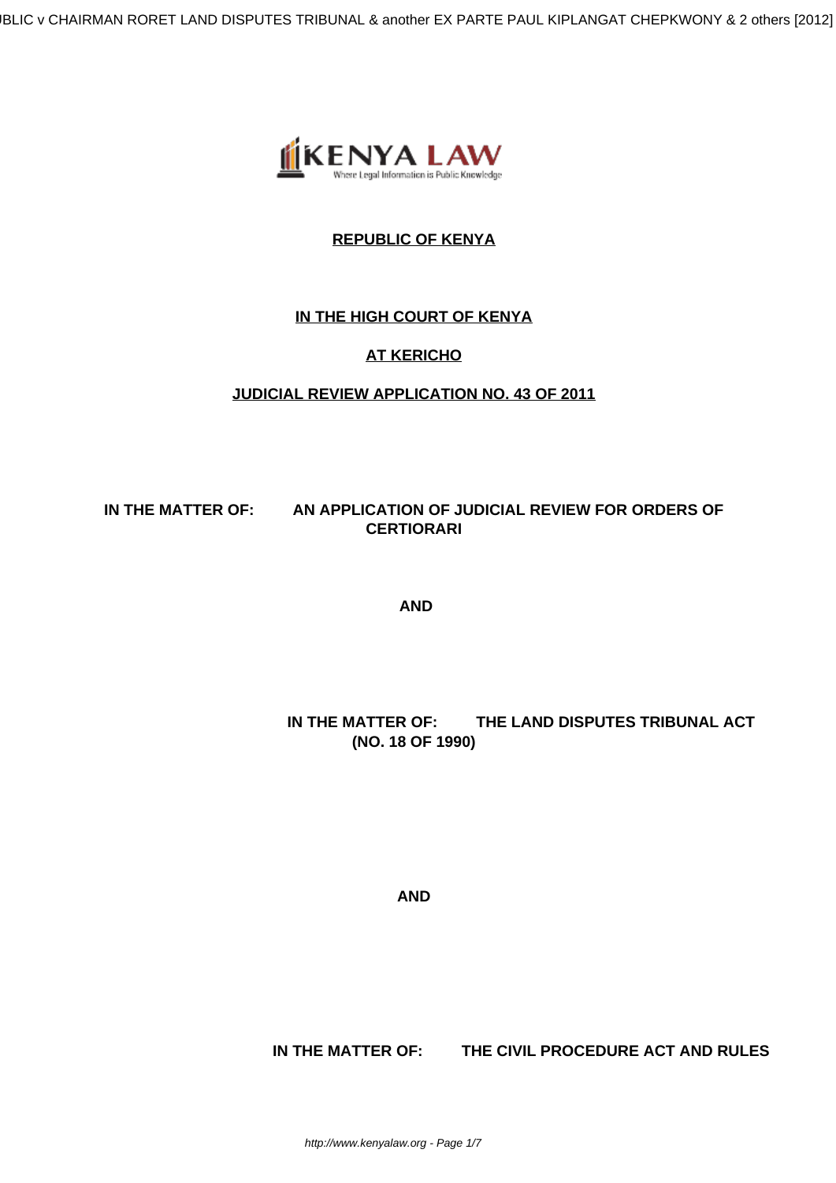IBLIC v CHAIRMAN RORET LAND DISPUTES TRIBUNAL & another EX PARTE PAUL KIPLANGAT CHEPKWONY & 2 others [2012]



# **REPUBLIC OF KENYA**

## **IN THE HIGH COURT OF KENYA**

# **AT KERICHO**

## **JUDICIAL REVIEW APPLICATION NO. 43 OF 2011**

#### **IN THE MATTER OF: AN APPLICATION OF JUDICIAL REVIEW FOR ORDERS OF CERTIORARI**

**AND**

# **IN THE MATTER OF: THE LAND DISPUTES TRIBUNAL ACT (NO. 18 OF 1990)**

**AND**

 **IN THE MATTER OF: THE CIVIL PROCEDURE ACT AND RULES**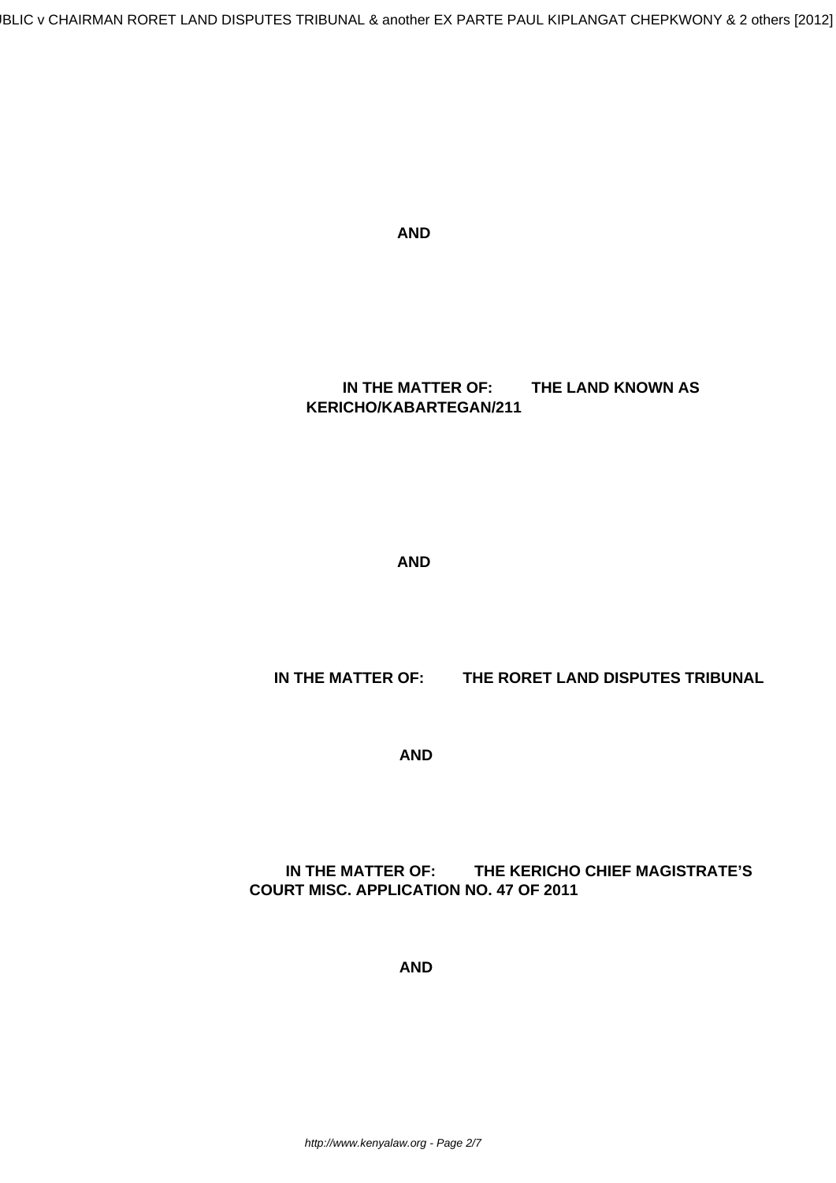**AND**

 **IN THE MATTER OF: THE LAND KNOWN AS KERICHO/KABARTEGAN/211**

**AND**

 **IN THE MATTER OF: THE RORET LAND DISPUTES TRIBUNAL**

**AND**

## **IN THE MATTER OF: THE KERICHO CHIEF MAGISTRATE'S COURT MISC. APPLICATION NO. 47 OF 2011**

**AND**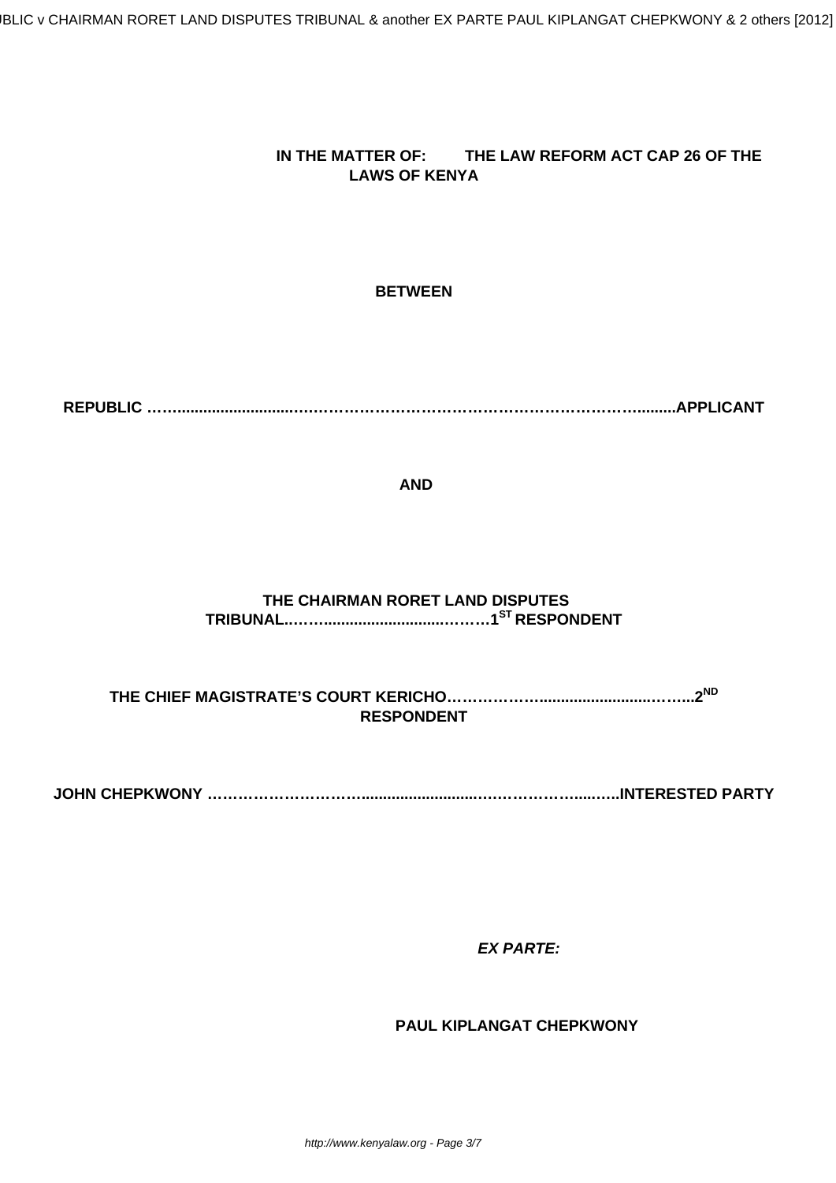## **IN THE MATTER OF: THE LAW REFORM ACT CAP 26 OF THE LAWS OF KENYA**

#### **BETWEEN**

**REPUBLIC ……...........................….……………………………………………………….........APPLICANT**

**AND**

# **THE CHAIRMAN RORET LAND DISPUTES TRIBUNAL..……............................………1ST RESPONDENT**

**THE CHIEF MAGISTRATE'S COURT KERICHO………………..........................……...2ND RESPONDENT**

**JOHN CHEPKWONY …………………………...........................….…………….....…..INTERESTED PARTY**

 **EX PARTE:**

 **PAUL KIPLANGAT CHEPKWONY**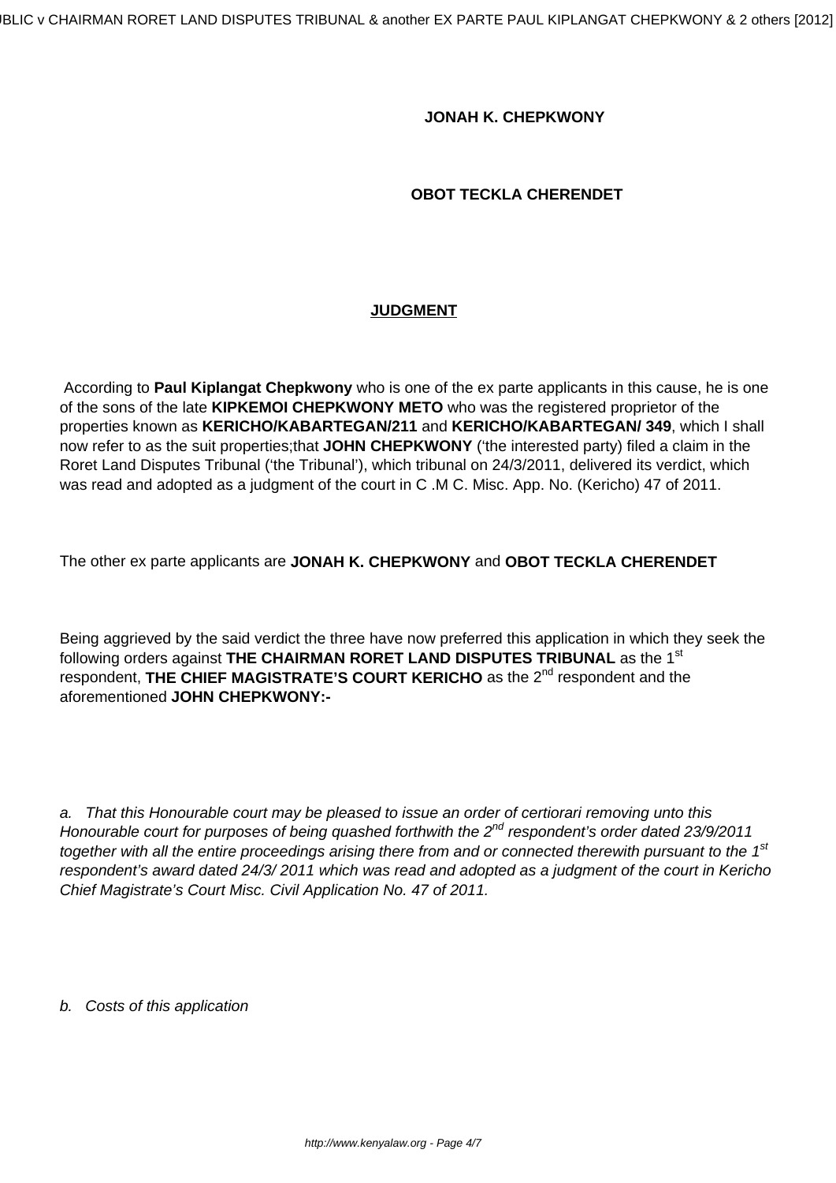#### **JONAH K. CHEPKWONY**

#### **OBOT TECKLA CHERENDET**

#### **JUDGMENT**

According to **Paul Kiplangat Chepkwony** who is one of the ex parte applicants in this cause, he is one of the sons of the late **KIPKEMOI CHEPKWONY METO** who was the registered proprietor of the properties known as **KERICHO/KABARTEGAN/211** and **KERICHO/KABARTEGAN/ 349**, which I shall now refer to as the suit properties;that **JOHN CHEPKWONY** ('the interested party) filed a claim in the Roret Land Disputes Tribunal ('the Tribunal'), which tribunal on 24/3/2011, delivered its verdict, which was read and adopted as a judgment of the court in C .M C. Misc. App. No. (Kericho) 47 of 2011.

The other ex parte applicants are **JONAH K. CHEPKWONY** and **OBOT TECKLA CHERENDET**

Being aggrieved by the said verdict the three have now preferred this application in which they seek the following orders against **THE CHAIRMAN RORET LAND DISPUTES TRIBUNAL** as the 1st respondent, THE CHIEF MAGISTRATE'S COURT KERICHO as the 2<sup>nd</sup> respondent and the aforementioned **JOHN CHEPKWONY:-**

a. That this Honourable court may be pleased to issue an order of certiorari removing unto this Honourable court for purposes of being quashed forthwith the  $2^{nd}$  respondent's order dated 23/9/2011 together with all the entire proceedings arising there from and or connected therewith pursuant to the  $1<sup>st</sup>$ respondent's award dated 24/3/ 2011 which was read and adopted as a judgment of the court in Kericho Chief Magistrate's Court Misc. Civil Application No. 47 of 2011.

b. Costs of this application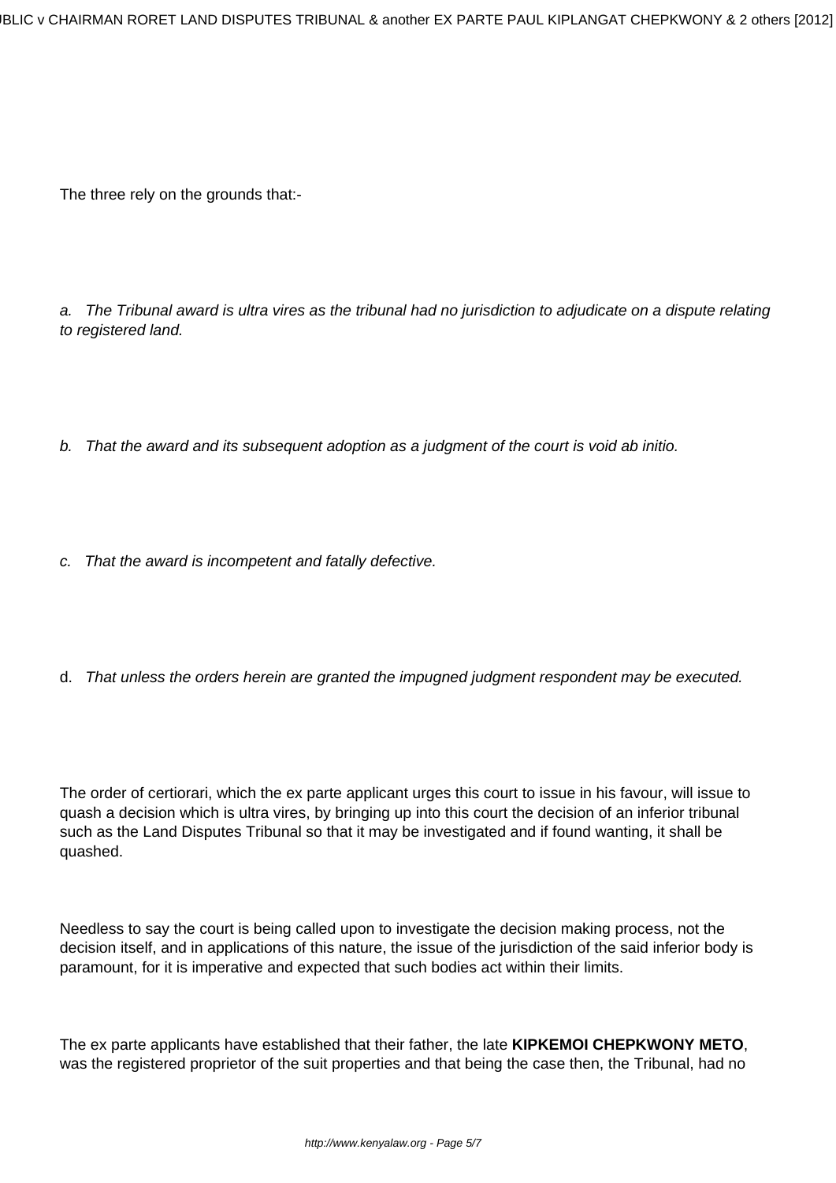IBLIC v CHAIRMAN RORET LAND DISPUTES TRIBUNAL & another EX PARTE PAUL KIPLANGAT CHEPKWONY & 2 others [2012]

The three rely on the grounds that:-

a. The Tribunal award is ultra vires as the tribunal had no jurisdiction to adjudicate on a dispute relating to registered land.

- b. That the award and its subsequent adoption as a judgment of the court is void ab initio.
- c. That the award is incompetent and fatally defective.
- d. That unless the orders herein are granted the impugned judgment respondent may be executed.

The order of certiorari, which the ex parte applicant urges this court to issue in his favour, will issue to quash a decision which is ultra vires, by bringing up into this court the decision of an inferior tribunal such as the Land Disputes Tribunal so that it may be investigated and if found wanting, it shall be quashed.

Needless to say the court is being called upon to investigate the decision making process, not the decision itself, and in applications of this nature, the issue of the jurisdiction of the said inferior body is paramount, for it is imperative and expected that such bodies act within their limits.

The ex parte applicants have established that their father, the late **KIPKEMOI CHEPKWONY METO**, was the registered proprietor of the suit properties and that being the case then, the Tribunal, had no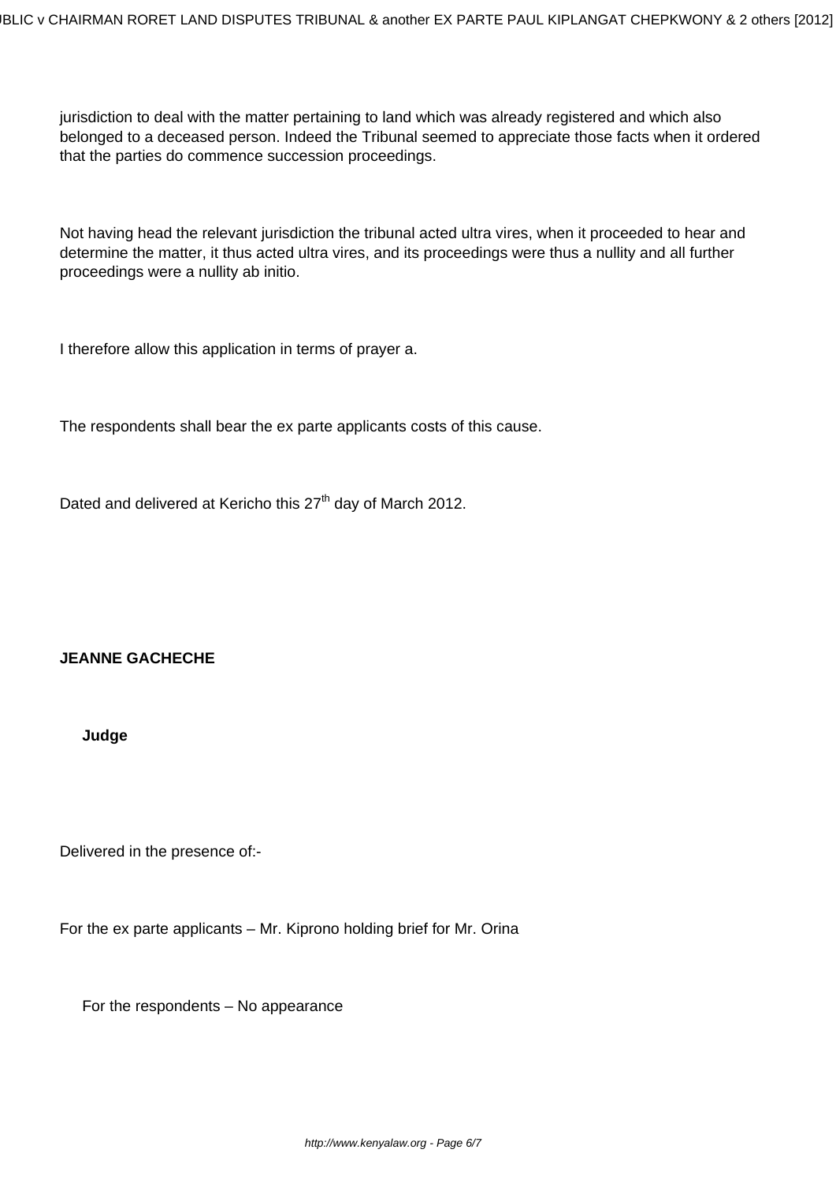jurisdiction to deal with the matter pertaining to land which was already registered and which also belonged to a deceased person. Indeed the Tribunal seemed to appreciate those facts when it ordered that the parties do commence succession proceedings.

Not having head the relevant jurisdiction the tribunal acted ultra vires, when it proceeded to hear and determine the matter, it thus acted ultra vires, and its proceedings were thus a nullity and all further proceedings were a nullity ab initio.

I therefore allow this application in terms of prayer a.

The respondents shall bear the ex parte applicants costs of this cause.

Dated and delivered at Kericho this 27<sup>th</sup> day of March 2012.

#### **JEANNE GACHECHE**

**Judge**

Delivered in the presence of:-

For the ex parte applicants – Mr. Kiprono holding brief for Mr. Orina

For the respondents – No appearance